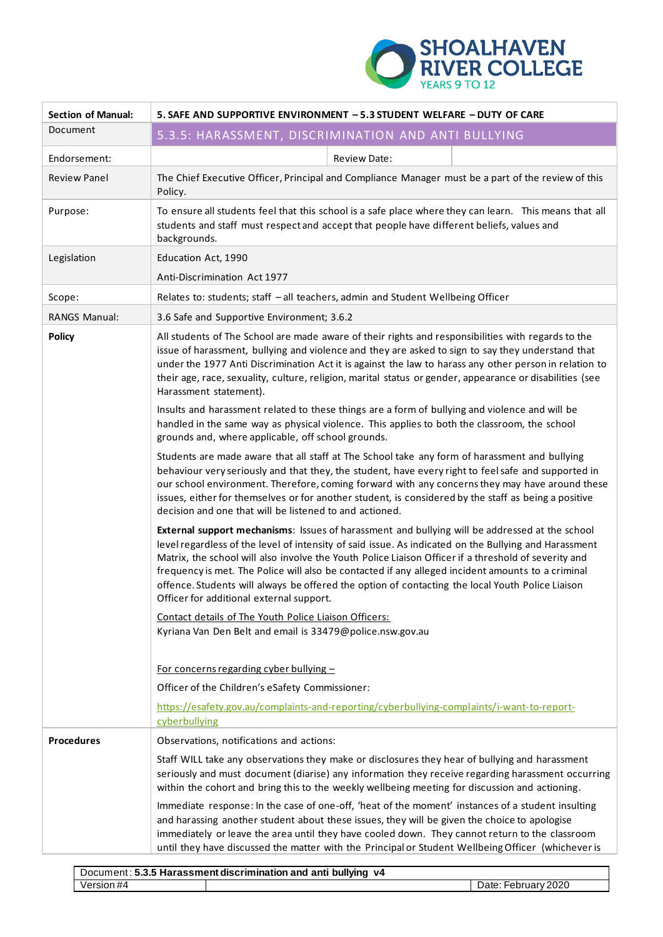

| <b>Section of Manual:</b> | 5. SAFE AND SUPPORTIVE ENVIRONMENT - 5.3 STUDENT WELFARE - DUTY OF CARE                                                                                                                                                                                                                                                                                                                                                                                                                                                                                              |  |  |
|---------------------------|----------------------------------------------------------------------------------------------------------------------------------------------------------------------------------------------------------------------------------------------------------------------------------------------------------------------------------------------------------------------------------------------------------------------------------------------------------------------------------------------------------------------------------------------------------------------|--|--|
| Document                  | 5.3.5: HARASSMENT, DISCRIMINATION AND ANTI BULLYING                                                                                                                                                                                                                                                                                                                                                                                                                                                                                                                  |  |  |
| Endorsement:              | <b>Review Date:</b>                                                                                                                                                                                                                                                                                                                                                                                                                                                                                                                                                  |  |  |
| <b>Review Panel</b>       | The Chief Executive Officer, Principal and Compliance Manager must be a part of the review of this<br>Policy.                                                                                                                                                                                                                                                                                                                                                                                                                                                        |  |  |
| Purpose:                  | To ensure all students feel that this school is a safe place where they can learn. This means that all<br>students and staff must respect and accept that people have different beliefs, values and<br>backgrounds.                                                                                                                                                                                                                                                                                                                                                  |  |  |
| Legislation               | Education Act, 1990                                                                                                                                                                                                                                                                                                                                                                                                                                                                                                                                                  |  |  |
|                           | Anti-Discrimination Act 1977                                                                                                                                                                                                                                                                                                                                                                                                                                                                                                                                         |  |  |
| Scope:                    | Relates to: students; staff - all teachers, admin and Student Wellbeing Officer                                                                                                                                                                                                                                                                                                                                                                                                                                                                                      |  |  |
| RANGS Manual:             | 3.6 Safe and Supportive Environment; 3.6.2                                                                                                                                                                                                                                                                                                                                                                                                                                                                                                                           |  |  |
| <b>Policy</b>             | All students of The School are made aware of their rights and responsibilities with regards to the<br>issue of harassment, bullying and violence and they are asked to sign to say they understand that<br>under the 1977 Anti Discrimination Act it is against the law to harass any other person in relation to<br>their age, race, sexuality, culture, religion, marital status or gender, appearance or disabilities (see<br>Harassment statement).                                                                                                              |  |  |
|                           | Insults and harassment related to these things are a form of bullying and violence and will be<br>handled in the same way as physical violence. This applies to both the classroom, the school<br>grounds and, where applicable, off school grounds.                                                                                                                                                                                                                                                                                                                 |  |  |
|                           | Students are made aware that all staff at The School take any form of harassment and bullying<br>behaviour very seriously and that they, the student, have every right to feel safe and supported in<br>our school environment. Therefore, coming forward with any concerns they may have around these<br>issues, either for themselves or for another student, is considered by the staff as being a positive<br>decision and one that will be listened to and actioned.                                                                                            |  |  |
|                           | External support mechanisms: Issues of harassment and bullying will be addressed at the school<br>level regardless of the level of intensity of said issue. As indicated on the Bullying and Harassment<br>Matrix, the school will also involve the Youth Police Liaison Officer if a threshold of severity and<br>frequency is met. The Police will also be contacted if any alleged incident amounts to a criminal<br>offence. Students will always be offered the option of contacting the local Youth Police Liaison<br>Officer for additional external support. |  |  |
|                           | Contact details of The Youth Police Liaison Officers:<br>Kyriana Van Den Belt and email is 33479@police.nsw.gov.au                                                                                                                                                                                                                                                                                                                                                                                                                                                   |  |  |
|                           | <u>For concerns regarding cyber bullying <math>-</math></u>                                                                                                                                                                                                                                                                                                                                                                                                                                                                                                          |  |  |
|                           | Officer of the Children's eSafety Commissioner:                                                                                                                                                                                                                                                                                                                                                                                                                                                                                                                      |  |  |
|                           | https://esafety.gov.au/complaints-and-reporting/cyberbullying-complaints/i-want-to-report-<br>cyberbullying                                                                                                                                                                                                                                                                                                                                                                                                                                                          |  |  |
| <b>Procedures</b>         | Observations, notifications and actions:                                                                                                                                                                                                                                                                                                                                                                                                                                                                                                                             |  |  |
|                           | Staff WILL take any observations they make or disclosures they hear of bullying and harassment<br>seriously and must document (diarise) any information they receive regarding harassment occurring<br>within the cohort and bring this to the weekly wellbeing meeting for discussion and actioning.                                                                                                                                                                                                                                                                |  |  |
|                           | Immediate response: In the case of one-off, 'heat of the moment' instances of a student insulting<br>and harassing another student about these issues, they will be given the choice to apologise<br>immediately or leave the area until they have cooled down. They cannot return to the classroom<br>until they have discussed the matter with the Principal or Student Wellbeing Officer (whichever is                                                                                                                                                            |  |  |

| Document: 5.3.5 Harassment discrimination and anti bullying<br>۷4 |  |                     |  |
|-------------------------------------------------------------------|--|---------------------|--|
| Version #4                                                        |  | Date: February 2020 |  |
|                                                                   |  |                     |  |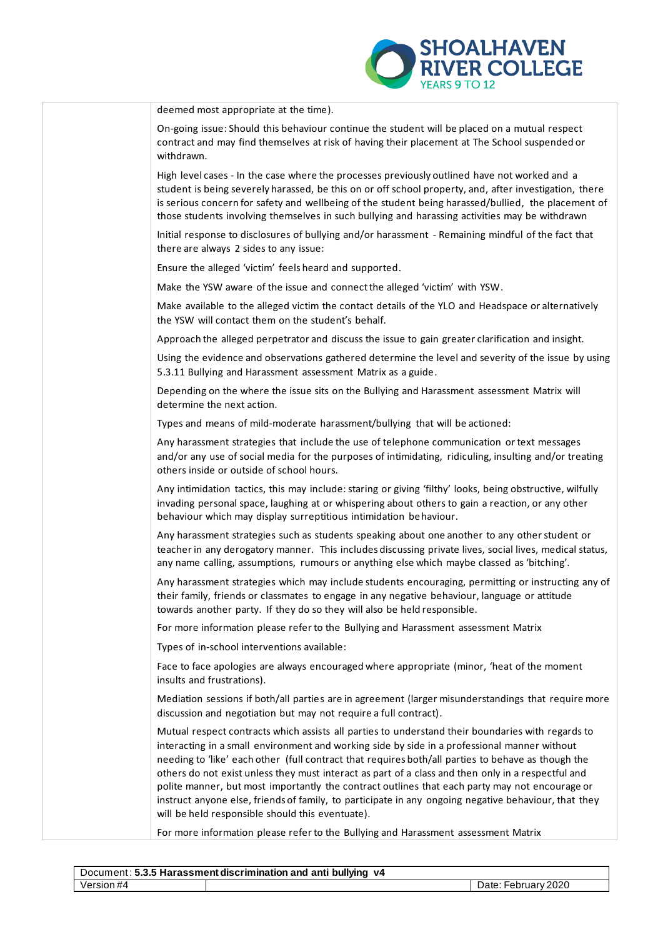

| YEARS 9 TO 12                                                                                                                                                                                                                                                                                                                                                                                                                                                                                                                                                                                                                                                               |
|-----------------------------------------------------------------------------------------------------------------------------------------------------------------------------------------------------------------------------------------------------------------------------------------------------------------------------------------------------------------------------------------------------------------------------------------------------------------------------------------------------------------------------------------------------------------------------------------------------------------------------------------------------------------------------|
| deemed most appropriate at the time).                                                                                                                                                                                                                                                                                                                                                                                                                                                                                                                                                                                                                                       |
| On-going issue: Should this behaviour continue the student will be placed on a mutual respect<br>contract and may find themselves at risk of having their placement at The School suspended or<br>withdrawn.                                                                                                                                                                                                                                                                                                                                                                                                                                                                |
| High level cases - In the case where the processes previously outlined have not worked and a<br>student is being severely harassed, be this on or off school property, and, after investigation, there<br>is serious concern for safety and wellbeing of the student being harassed/bullied, the placement of<br>those students involving themselves in such bullying and harassing activities may be withdrawn                                                                                                                                                                                                                                                             |
| Initial response to disclosures of bullying and/or harassment - Remaining mindful of the fact that<br>there are always 2 sides to any issue:                                                                                                                                                                                                                                                                                                                                                                                                                                                                                                                                |
| Ensure the alleged 'victim' feels heard and supported.                                                                                                                                                                                                                                                                                                                                                                                                                                                                                                                                                                                                                      |
| Make the YSW aware of the issue and connect the alleged 'victim' with YSW.                                                                                                                                                                                                                                                                                                                                                                                                                                                                                                                                                                                                  |
| Make available to the alleged victim the contact details of the YLO and Headspace or alternatively<br>the YSW will contact them on the student's behalf.                                                                                                                                                                                                                                                                                                                                                                                                                                                                                                                    |
| Approach the alleged perpetrator and discuss the issue to gain greater clarification and insight.                                                                                                                                                                                                                                                                                                                                                                                                                                                                                                                                                                           |
| Using the evidence and observations gathered determine the level and severity of the issue by using<br>5.3.11 Bullying and Harassment assessment Matrix as a guide.                                                                                                                                                                                                                                                                                                                                                                                                                                                                                                         |
| Depending on the where the issue sits on the Bullying and Harassment assessment Matrix will<br>determine the next action.                                                                                                                                                                                                                                                                                                                                                                                                                                                                                                                                                   |
| Types and means of mild-moderate harassment/bullying that will be actioned:                                                                                                                                                                                                                                                                                                                                                                                                                                                                                                                                                                                                 |
| Any harassment strategies that include the use of telephone communication or text messages<br>and/or any use of social media for the purposes of intimidating, ridiculing, insulting and/or treating<br>others inside or outside of school hours.                                                                                                                                                                                                                                                                                                                                                                                                                           |
| Any intimidation tactics, this may include: staring or giving 'filthy' looks, being obstructive, wilfully<br>invading personal space, laughing at or whispering about others to gain a reaction, or any other<br>behaviour which may display surreptitious intimidation behaviour.                                                                                                                                                                                                                                                                                                                                                                                          |
| Any harassment strategies such as students speaking about one another to any other student or<br>teacher in any derogatory manner. This includes discussing private lives, social lives, medical status,<br>any name calling, assumptions, rumours or anything else which maybe classed as 'bitching'.                                                                                                                                                                                                                                                                                                                                                                      |
| Any harassment strategies which may include students encouraging, permitting or instructing any of<br>their family, friends or classmates to engage in any negative behaviour, language or attitude<br>towards another party. If they do so they will also be held responsible.                                                                                                                                                                                                                                                                                                                                                                                             |
| For more information please refer to the Bullying and Harassment assessment Matrix                                                                                                                                                                                                                                                                                                                                                                                                                                                                                                                                                                                          |
| Types of in-school interventions available:                                                                                                                                                                                                                                                                                                                                                                                                                                                                                                                                                                                                                                 |
| Face to face apologies are always encouraged where appropriate (minor, 'heat of the moment<br>insults and frustrations).                                                                                                                                                                                                                                                                                                                                                                                                                                                                                                                                                    |
| Mediation sessions if both/all parties are in agreement (larger misunderstandings that require more<br>discussion and negotiation but may not require a full contract).                                                                                                                                                                                                                                                                                                                                                                                                                                                                                                     |
| Mutual respect contracts which assists all parties to understand their boundaries with regards to<br>interacting in a small environment and working side by side in a professional manner without<br>needing to 'like' each other (full contract that requires both/all parties to behave as though the<br>others do not exist unless they must interact as part of a class and then only in a respectful and<br>polite manner, but most importantly the contract outlines that each party may not encourage or<br>instruct anyone else, friends of family, to participate in any ongoing negative behaviour, that they<br>will be held responsible should this eventuate). |
| For more information please refer to the Bullying and Harassment assessment Matrix                                                                                                                                                                                                                                                                                                                                                                                                                                                                                                                                                                                          |

| Document: 5.3.5 Harassment discrimination and anti bullying<br>v4 |  |                          |  |  |  |
|-------------------------------------------------------------------|--|--------------------------|--|--|--|
| Version #4                                                        |  | : Februarv 2020<br>Date: |  |  |  |